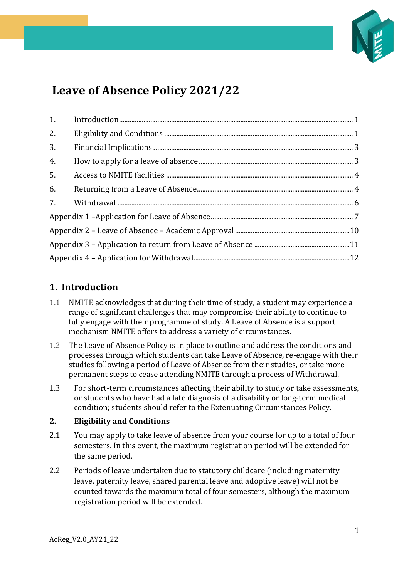

# **Leave of Absence Policy 2021/22**

| 2. |  |  |
|----|--|--|
| 3. |  |  |
| 4. |  |  |
| 5. |  |  |
|    |  |  |
|    |  |  |
|    |  |  |
|    |  |  |
|    |  |  |
|    |  |  |

## <span id="page-0-0"></span>**1. Introduction**

- 1.1 NMITE acknowledges that during their time of study, a student may experience a range of significant challenges that may compromise their ability to continue to fully engage with their programme of study. A Leave of Absence is a support mechanism NMITE offers to address a variety of circumstances.
- 1.2 The Leave of Absence Policy is in place to outline and address the conditions and processes through which students can take Leave of Absence, re-engage with their studies following a period of Leave of Absence from their studies, or take more permanent steps to cease attending NMITE through a process of Withdrawal.
- 1.3 For short-term circumstances affecting their ability to study or take assessments, or students who have had a late diagnosis of a disability or long-term medical condition; students should refer to the Extenuating Circumstances Policy.

#### <span id="page-0-1"></span>**2. Eligibility and Conditions**

- 2.1 You may apply to take leave of absence from your course for up to a total of four semesters. In this event, the maximum registration period will be extended for the same period.
- 2.2 Periods of leave undertaken due to statutory childcare (including maternity leave, paternity leave, shared parental leave and adoptive leave) will not be counted towards the maximum total of four semesters, although the maximum registration period will be extended.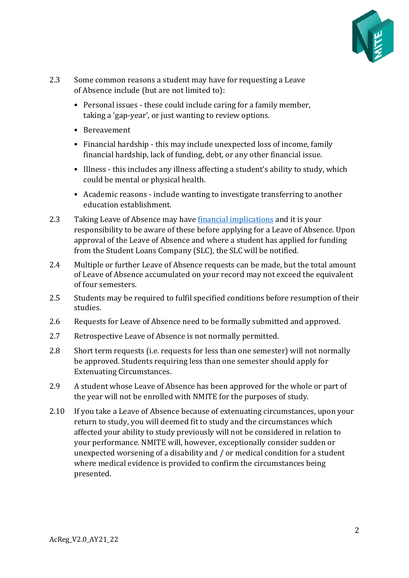

- 2.3 Some common reasons a student may have for requesting a Leave of Absence include (but are not limited to):
	- Personal issues these could include caring for a family member, taking a 'gap-year', or just wanting to review options.
	- Bereavement
	- Financial hardship this may include unexpected loss of income, family financial hardship, lack of funding, debt, or any other financial issue.
	- Illness this includes any illness affecting a student's ability to study, which could be mental or physical health.
	- Academic reasons include wanting to investigate transferring to another education establishment.
- 2.3 Taking Leave of Absence may have [financial implications](#page-2-0) and it is your responsibility to be aware of these before applying for a Leave of Absence. Upon approval of the Leave of Absence and where a student has applied for funding from the Student Loans Company (SLC), the SLC will be notified.
- 2.4 Multiple or further Leave of Absence requests can be made, but the total amount of Leave of Absence accumulated on your record may not exceed the equivalent of four semesters.
- 2.5 Students may be required to fulfil specified conditions before resumption of their studies.
- 2.6 Requests for Leave of Absence need to be formally submitted and approved.
- 2.7 Retrospective Leave of Absence is not normally permitted.
- 2.8 Short term requests (i.e. requests for less than one semester) will not normally be approved. Students requiring less than one semester should apply for Extenuating Circumstances.
- 2.9 A student whose Leave of Absence has been approved for the whole or part of the year will not be enrolled with NMITE for the purposes of study.
- 2.10 If you take a Leave of Absence because of extenuating circumstances, upon your return to study, you will deemed fit to study and the circumstances which affected your ability to study previously will not be considered in relation to your performance. NMITE will, however, exceptionally consider sudden or unexpected worsening of a disability and / or medical condition for a student where medical evidence is provided to confirm the circumstances being presented.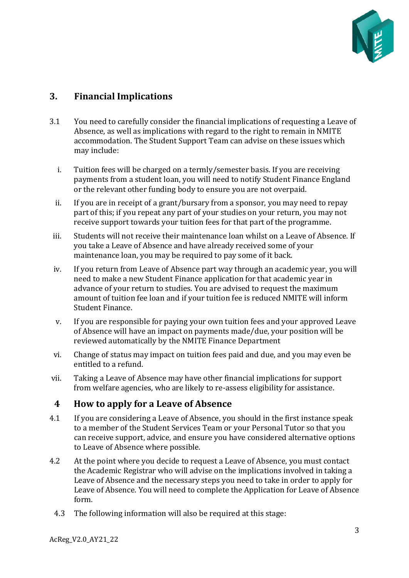

## <span id="page-2-0"></span>**3. Financial Implications**

- 3.1 You need to carefully consider the financial implications of requesting a Leave of Absence, as well as implications with regard to the right to remain in NMITE accommodation. The Student Support Team can advise on these issues which may include:
	- i. Tuition fees will be charged on a termly/semester basis. If you are receiving payments from a student loan, you will need to notify Student Finance England or the relevant other funding body to ensure you are not overpaid.
	- ii. If you are in receipt of a grant/bursary from a sponsor, you may need to repay part of this; if you repeat any part of your studies on your return, you may not receive support towards your tuition fees for that part of the programme.
- iii. Students will not receive their maintenance loan whilst on a Leave of Absence. If you take a Leave of Absence and have already received some of your maintenance loan, you may be required to pay some of it back.
- iv. If you return from Leave of Absence part way through an academic year, you will need to make a new Student Finance application for that academic year in advance of your return to studies. You are advised to request the maximum amount of tuition fee loan and if your tuition fee is reduced NMITE will inform Student Finance.
- v. If you are responsible for paying your own tuition fees and your approved Leave of Absence will have an impact on payments made/due, your position will be reviewed automatically by the NMITE Finance Department
- vi. Change of status may impact on tuition fees paid and due, and you may even be entitled to a refund.
- vii. Taking a Leave of Absence may have other financial implications for support from welfare agencies, who are likely to re-assess eligibility for assistance.

### <span id="page-2-1"></span>**4 How to apply for a Leave of Absence**

- 4.1 If you are considering a Leave of Absence, you should in the first instance speak to a member of the Student Services Team or your Personal Tutor so that you can receive support, advice, and ensure you have considered alternative options to Leave of Absence where possible.
- 4.2 At the point where you decide to request a Leave of Absence, you must contact the Academic Registrar who will advise on the implications involved in taking a Leave of Absence and the necessary steps you need to take in order to apply for Leave of Absence. You will need to complete the Application for Leave of Absence form.
	- 4.3 The following information will also be required at this stage: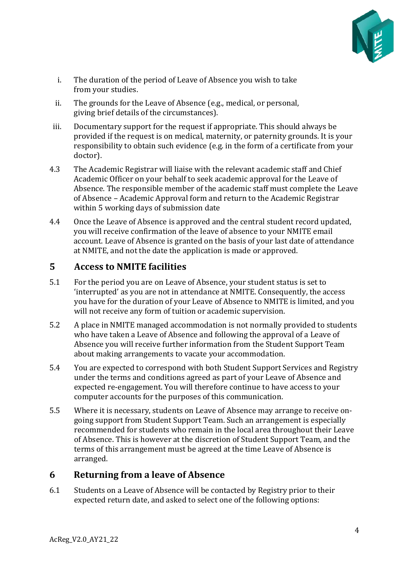

- i. The duration of the period of Leave of Absence you wish to take from your studies.
- ii. The grounds for the Leave of Absence (e.g., medical, or personal, giving brief details of the circumstances).
- iii. Documentary support for the request if appropriate. This should always be provided if the request is on medical, maternity, or paternity grounds. It is your responsibility to obtain such evidence (e.g. in the form of a certificate from your doctor).
- 4.3 The Academic Registrar will liaise with the relevant academic staff and Chief Academic Officer on your behalf to seek academic approval for the Leave of Absence. The responsible member of the academic staff must complete the Leave of Absence – Academic Approval form and return to the Academic Registrar within 5 working days of submission date
- 4.4 Once the Leave of Absence is approved and the central student record updated, you will receive confirmation of the leave of absence to your NMITE email account. Leave of Absence is granted on the basis of your last date of attendance at NMITE, and not the date the application is made or approved.

### <span id="page-3-0"></span>**5 Access to NMITE facilities**

- 5.1 For the period you are on Leave of Absence, your student status is set to 'interrupted' as you are not in attendance at NMITE. Consequently, the access you have for the duration of your Leave of Absence to NMITE is limited, and you will not receive any form of tuition or academic supervision.
- 5.2 A place in NMITE managed accommodation is not normally provided to students who have taken a Leave of Absence and following the approval of a Leave of Absence you will receive further information from the Student Support Team about making arrangements to vacate your accommodation.
- 5.4 You are expected to correspond with both Student Support Services and Registry under the terms and conditions agreed as part of your Leave of Absence and expected re-engagement. You will therefore continue to have access to your computer accounts for the purposes of this communication.
- 5.5 Where it is necessary, students on Leave of Absence may arrange to receive ongoing support from Student Support Team. Such an arrangement is especially recommended for students who remain in the local area throughout their Leave of Absence. This is however at the discretion of Student Support Team, and the terms of this arrangement must be agreed at the time Leave of Absence is arranged.

### <span id="page-3-1"></span>**6 Returning from a leave of Absence**

6.1 Students on a Leave of Absence will be contacted by Registry prior to their expected return date, and asked to select one of the following options: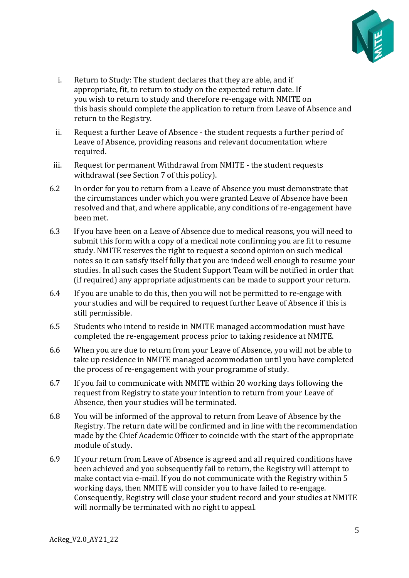

- i. Return to Study: The student declares that they are able, and if appropriate, fit, to return to study on the expected return date. If you wish to return to study and therefore re-engage with NMITE on this basis should complete the application to return from Leave of Absence and return to the Registry.
- ii. Request a further Leave of Absence the student requests a further period of Leave of Absence, providing reasons and relevant documentation where required.
- iii. Request for permanent Withdrawal from NMITE the student requests withdrawal (see Section 7 of this policy).
- 6.2 In order for you to return from a Leave of Absence you must demonstrate that the circumstances under which you were granted Leave of Absence have been resolved and that, and where applicable, any conditions of re-engagement have been met.
- 6.3 If you have been on a Leave of Absence due to medical reasons, you will need to submit this form with a copy of a medical note confirming you are fit to resume study. NMITE reserves the right to request a second opinion on such medical notes so it can satisfy itself fully that you are indeed well enough to resume your studies. In all such cases the Student Support Team will be notified in order that (if required) any appropriate adjustments can be made to support your return.
- 6.4 If you are unable to do this, then you will not be permitted to re-engage with your studies and will be required to request further Leave of Absence if this is still permissible.
- 6.5 Students who intend to reside in NMITE managed accommodation must have completed the re-engagement process prior to taking residence at NMITE.
- 6.6 When you are due to return from your Leave of Absence, you will not be able to take up residence in NMITE managed accommodation until you have completed the process of re-engagement with your programme of study.
- 6.7 If you fail to communicate with NMITE within 20 working days following the request from Registry to state your intention to return from your Leave of Absence, then your studies will be terminated.
- 6.8 You will be informed of the approval to return from Leave of Absence by the Registry. The return date will be confirmed and in line with the recommendation made by the Chief Academic Officer to coincide with the start of the appropriate module of study.
- 6.9 If your return from Leave of Absence is agreed and all required conditions have been achieved and you subsequently fail to return, the Registry will attempt to make contact via e-mail. If you do not communicate with the Registry within 5 working days, then NMITE will consider you to have failed to re-engage. Consequently, Registry will close your student record and your studies at NMITE will normally be terminated with no right to appeal.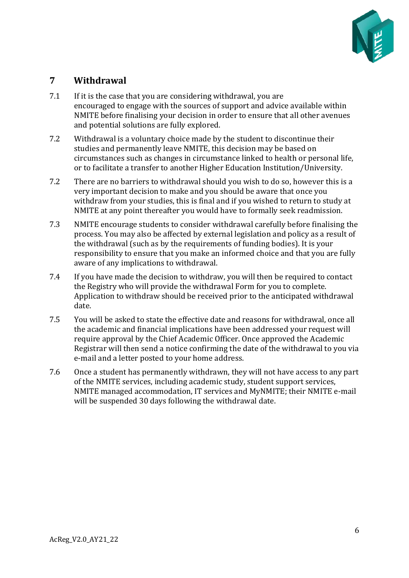

### <span id="page-5-0"></span>**7 Withdrawal**

- 7.1 If it is the case that you are considering withdrawal, you are encouraged to engage with the sources of support and advice available within NMITE before finalising your decision in order to ensure that all other avenues and potential solutions are fully explored.
- 7.2 Withdrawal is a voluntary choice made by the student to discontinue their studies and permanently leave NMITE, this decision may be based on circumstances such as changes in circumstance linked to health or personal life, or to facilitate a transfer to another Higher Education Institution/University.
- 7.2 There are no barriers to withdrawal should you wish to do so, however this is a very important decision to make and you should be aware that once you withdraw from your studies, this is final and if you wished to return to study at NMITE at any point thereafter you would have to formally seek readmission.
- 7.3 NMITE encourage students to consider withdrawal carefully before finalising the process. You may also be affected by external legislation and policy as a result of the withdrawal (such as by the requirements of funding bodies). It is your responsibility to ensure that you make an informed choice and that you are fully aware of any implications to withdrawal.
- 7.4 If you have made the decision to withdraw, you will then be required to contact the Registry who will provide the withdrawal Form for you to complete. Application to withdraw should be received prior to the anticipated withdrawal date.
- 7.5 You will be asked to state the effective date and reasons for withdrawal, once all the academic and financial implications have been addressed your request will require approval by the Chief Academic Officer. Once approved the Academic Registrar will then send a notice confirming the date of the withdrawal to you via e-mail and a letter posted to your home address.
- 7.6 Once a student has permanently withdrawn, they will not have access to any part of the NMITE services, including academic study, student support services, NMITE managed accommodation, IT services and MyNMITE; their NMITE e-mail will be suspended 30 days following the withdrawal date.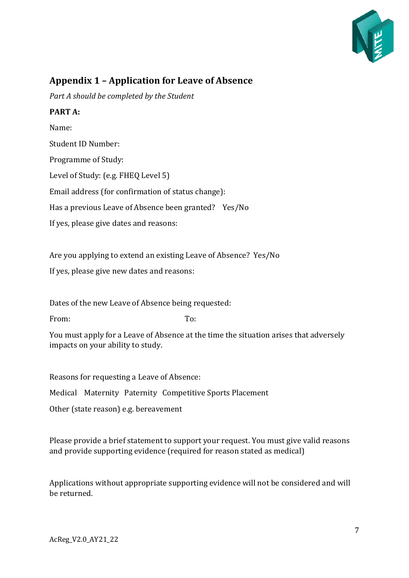

### <span id="page-6-0"></span>**Appendix 1 – Application for Leave of Absence**

*Part A should be completed by the Student* 

#### **PART A:**

Name: Student ID Number: Programme of Study: Level of Study: (e.g. FHEQ Level 5) Email address (for confirmation of status change): Has a previous Leave of Absence been granted? Yes/No If yes, please give dates and reasons:

Are you applying to extend an existing Leave of Absence? Yes/No

If yes, please give new dates and reasons:

Dates of the new Leave of Absence being requested:

From: To:

You must apply for a Leave of Absence at the time the situation arises that adversely impacts on your ability to study.

Reasons for requesting a Leave of Absence:

Medical Maternity Paternity Competitive Sports Placement

Other (state reason) e.g. bereavement

Please provide a brief statement to support your request. You must give valid reasons and provide supporting evidence (required for reason stated as medical)

Applications without appropriate supporting evidence will not be considered and will be returned.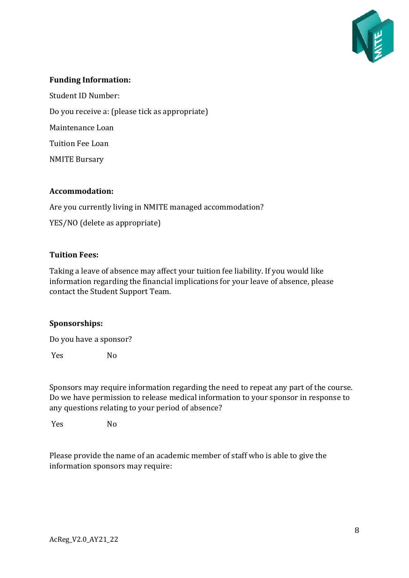

#### **Funding Information:**

Student ID Number:

Do you receive a: (please tick as appropriate)

Maintenance Loan

Tuition Fee Loan

NMITE Bursary

#### **Accommodation:**

Are you currently living in NMITE managed accommodation?

YES/NO (delete as appropriate)

#### **Tuition Fees:**

Taking a leave of absence may affect your tuition fee liability. If you would like information regarding the financial implications for your leave of absence, please contact the Student Support Team.

#### **Sponsorships:**

Do you have a sponsor?

Yes No

Sponsors may require information regarding the need to repeat any part of the course. Do we have permission to release medical information to your sponsor in response to any questions relating to your period of absence?

Yes No

Please provide the name of an academic member of staff who is able to give the information sponsors may require: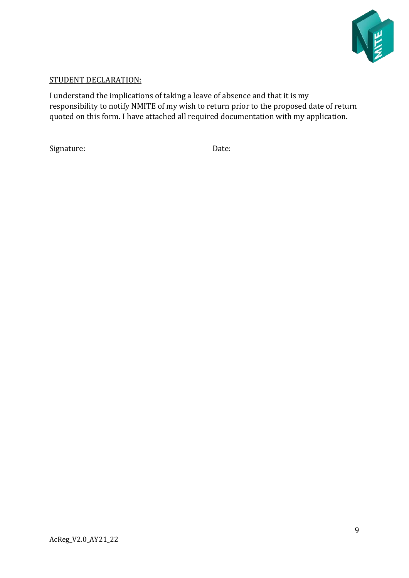

#### STUDENT DECLARATION:

I understand the implications of taking a leave of absence and that it is my responsibility to notify NMITE of my wish to return prior to the proposed date of return quoted on this form. I have attached all required documentation with my application.

Signature: Date: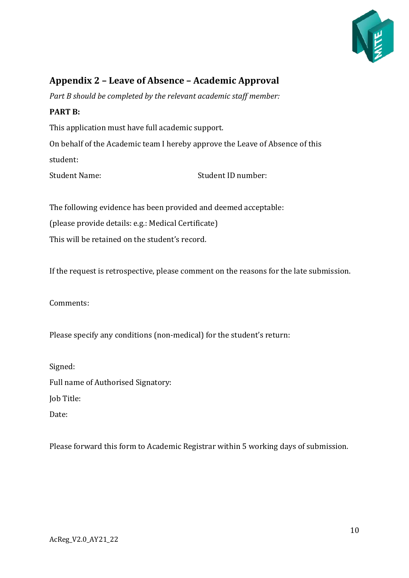

# <span id="page-9-0"></span>**Appendix 2 – Leave of Absence – Academic Approval**

*Part B should be completed by the relevant academic staff member:* 

#### **PART B:**

This application must have full academic support.

On behalf of the Academic team I hereby approve the Leave of Absence of this student:

Student Name: Student ID number:

The following evidence has been provided and deemed acceptable: (please provide details: e.g.: Medical Certificate)

This will be retained on the student's record.

If the request is retrospective, please comment on the reasons for the late submission.

Comments:

Please specify any conditions (non-medical) for the student's return:

Signed: Full name of Authorised Signatory: Job Title:

Date:

Please forward this form to Academic Registrar within 5 working days of submission.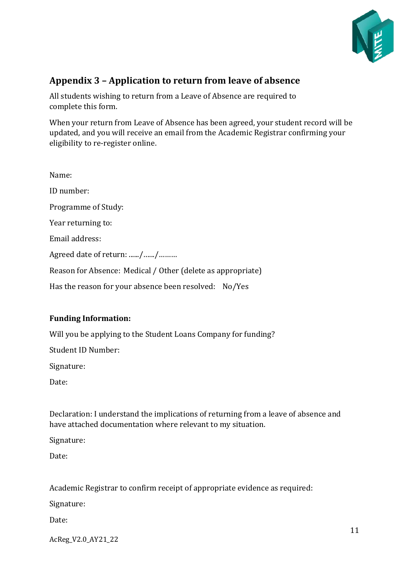

# <span id="page-10-0"></span>**Appendix 3 – Application to return from leave of absence**

All students wishing to return from a Leave of Absence are required to complete this form.

When your return from Leave of Absence has been agreed, your student record will be updated, and you will receive an email from the Academic Registrar confirming your eligibility to re-register online.

| Name:                                                       |  |  |
|-------------------------------------------------------------|--|--|
| ID number:                                                  |  |  |
| Programme of Study:                                         |  |  |
| Year returning to:                                          |  |  |
| Email address:                                              |  |  |
| Agreed date of return: //                                   |  |  |
| Reason for Absence: Medical / Other (delete as appropriate) |  |  |
| Has the reason for your absence been resolved: No/Yes       |  |  |

#### **Funding Information:**

Will you be applying to the Student Loans Company for funding?

Student ID Number:

Signature:

Date:

Declaration: I understand the implications of returning from a leave of absence and have attached documentation where relevant to my situation.

Signature:

Date:

Academic Registrar to confirm receipt of appropriate evidence as required:

Signature:

Date:

AcReg\_V2.0\_AY21\_22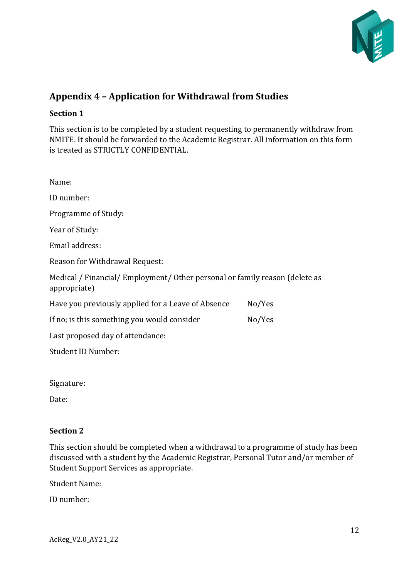

# <span id="page-11-0"></span>**Appendix 4 – Application for Withdrawal from Studies**

#### **Section 1**

This section is to be completed by a student requesting to permanently withdraw from NMITE. It should be forwarded to the Academic Registrar. All information on this form is treated as STRICTLY CONFIDENTIAL.

| Name:                                                                                       |  |  |  |
|---------------------------------------------------------------------------------------------|--|--|--|
| ID number:                                                                                  |  |  |  |
| Programme of Study:                                                                         |  |  |  |
| Year of Study:                                                                              |  |  |  |
| Email address:                                                                              |  |  |  |
| Reason for Withdrawal Request:                                                              |  |  |  |
| Medical / Financial/ Employment/ Other personal or family reason (delete as<br>appropriate) |  |  |  |
| No/Yes                                                                                      |  |  |  |
| No/Yes                                                                                      |  |  |  |
| Last proposed day of attendance:                                                            |  |  |  |
| <b>Student ID Number:</b>                                                                   |  |  |  |
|                                                                                             |  |  |  |

Signature:

Date:

#### **Section 2**

This section should be completed when a withdrawal to a programme of study has been discussed with a student by the Academic Registrar, Personal Tutor and/or member of Student Support Services as appropriate.

Student Name:

ID number: